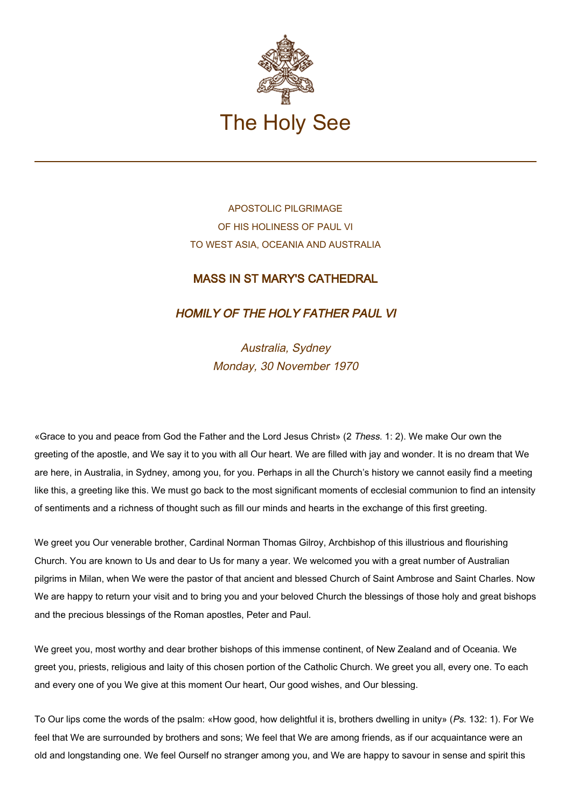

APOSTOLIC PILGRIMAGE OF HIS HOLINESS OF PAUL VI TO WEST ASIA, OCEANIA AND AUSTRALIA

## MASS IN ST MARY'S CATHEDRAL

## HOMILY OF THE HOLY FATHER PAUL VI

Australia, Sydney Monday, 30 November 1970

«Grace to you and peace from God the Father and the Lord Jesus Christ» (2 Thess. 1: 2). We make Our own the greeting of the apostle, and We say it to you with all Our heart. We are filled with jay and wonder. It is no dream that We are here, in Australia, in Sydney, among you, for you. Perhaps in all the Church's history we cannot easily find a meeting like this, a greeting like this. We must go back to the most significant moments of ecclesial communion to find an intensity of sentiments and a richness of thought such as fill our minds and hearts in the exchange of this first greeting.

We greet you Our venerable brother, Cardinal Norman Thomas Gilroy, Archbishop of this illustrious and flourishing Church. You are known to Us and dear to Us for many a year. We welcomed you with a great number of Australian pilgrims in Milan, when We were the pastor of that ancient and blessed Church of Saint Ambrose and Saint Charles. Now We are happy to return your visit and to bring you and your beloved Church the blessings of those holy and great bishops and the precious blessings of the Roman apostles, Peter and Paul.

We greet you, most worthy and dear brother bishops of this immense continent, of New Zealand and of Oceania. We greet you, priests, religious and laity of this chosen portion of the Catholic Church. We greet you all, every one. To each and every one of you We give at this moment Our heart, Our good wishes, and Our blessing.

To Our lips come the words of the psalm: «How good, how delightful it is, brothers dwelling in unity» (Ps. 132: 1). For We feel that We are surrounded by brothers and sons; We feel that We are among friends, as if our acquaintance were an old and longstanding one. We feel Ourself no stranger among you, and We are happy to savour in sense and spirit this